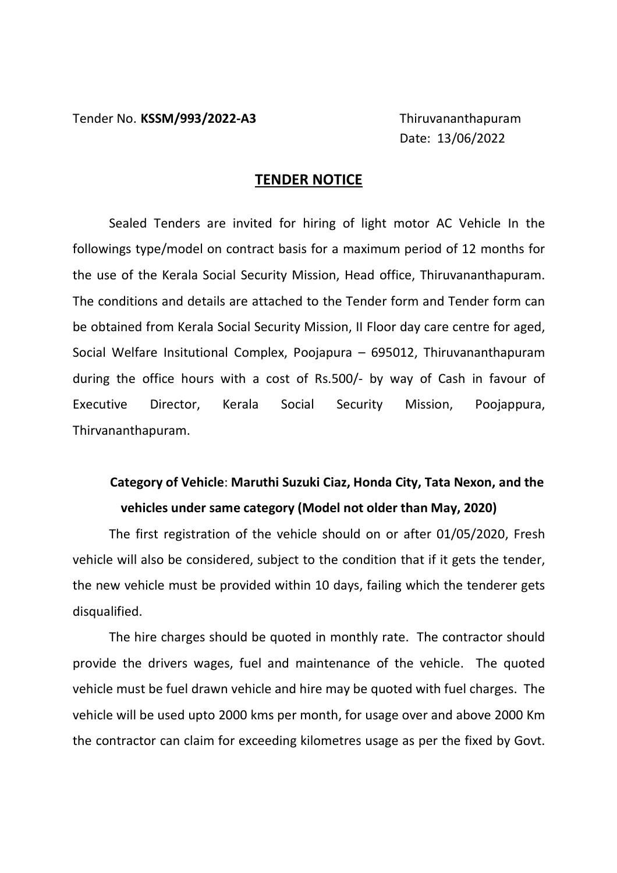Date: 13/06/2022

## **TENDER NOTICE**

 Sealed Tenders are invited for hiring of light motor AC Vehicle In the followings type/model on contract basis for a maximum period of 12 months for the use of the Kerala Social Security Mission, Head office, Thiruvananthapuram. The conditions and details are attached to the Tender form and Tender form can be obtained from Kerala Social Security Mission, II Floor day care centre for aged, Social Welfare Insitutional Complex, Poojapura – 695012, Thiruvananthapuram during the office hours with a cost of Rs.500/- by way of Cash in favour of Executive Director, Kerala Social Security Mission, Poojappura, Thirvananthapuram.

## **Category of Vehicle**: **Maruthi Suzuki Ciaz, Honda City, Tata Nexon, and the vehicles under same category (Model not older than May, 2020)**

 The first registration of the vehicle should on or after 01/05/2020, Fresh vehicle will also be considered, subject to the condition that if it gets the tender, the new vehicle must be provided within 10 days, failing which the tenderer gets disqualified.

 The hire charges should be quoted in monthly rate. The contractor should provide the drivers wages, fuel and maintenance of the vehicle. The quoted vehicle must be fuel drawn vehicle and hire may be quoted with fuel charges. The vehicle will be used upto 2000 kms per month, for usage over and above 2000 Km the contractor can claim for exceeding kilometres usage as per the fixed by Govt.